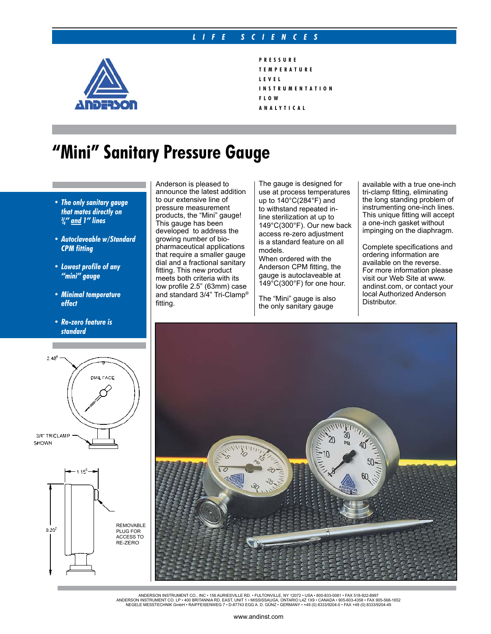## *L I F E S C I E N C E S*



## **P R E S S U R E T E M P E R A T U R E L E V E L I N S T R U M E N T A T I O N F L O W A N A L Y T I C A L**

## **"Mini" Sanitary Pressure Gauge**

- *• The only sanitary gauge that mates directly on 3 / 4" and 1" lines*
- *• Autoclaveable w/Standard CPM fitting*
- *• Lowest profile of any "mini" gauge*
- *• Minimal temperature effect*
- *• Re-zero feature is standard*

Anderson is pleased to announce the latest addition to our extensive line of pressure measurement products, the "Mini" gauge! This gauge has been developed to address the growing number of biopharmaceutical applications that require a smaller gauge dial and a fractional sanitary fitting. This new product meets both criteria with its low profile 2.5" (63mm) case and standard 3/4" Tri-Clamp® fitting.

The gauge is designed for use at process temperatures up to 140°C(284°F) and to withstand repeated inline sterilization at up to 149°C(300°F). Our new back access re-zero adjustment is a standard feature on all models.

When ordered with the Anderson CPM fitting, the gauge is autoclaveable at  $149^{\circ}$ C(300°F) for one hour.

The "Mini" gauge is also the only sanitary gauge

available with a true one-inch tri-clamp fitting, eliminating the long standing problem of instrumenting one-inch lines. This unique fitting will accept a one-inch gasket without impinging on the diaphragm.

Complete specifications and ordering information are available on the reverse. For more information please visit our Web Site at www. andinst.com, or contact your local Authorized Anderson Distributor.



ANDERSON INSTRUMENT CO., INC • 156 AURIESVILLE RD. • FULTONVILLE, NY 12072 • USA • 800-833-0081 • FAX 518-922-8997<br>ANDERSON INSTRUMENT CO. LP • 400 BRITANNIA RD. EAST, UNIT 1 • MISSISSAUGA, ONTARIO L42 1X9 • CANADA • 905-6